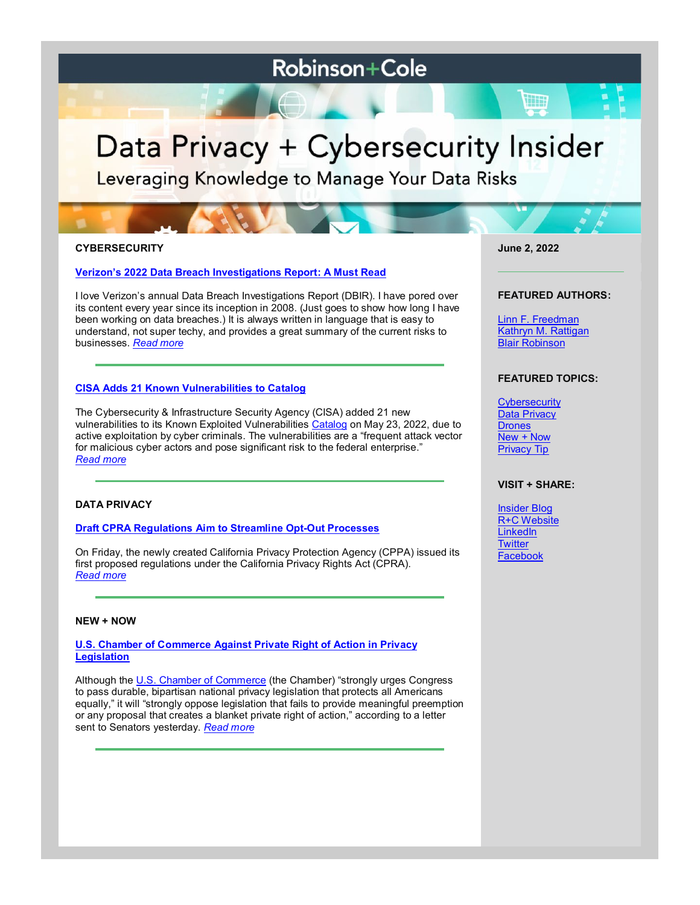# **Robinson+Cole**

# Data Privacy + Cybersecurity Insider

Leveraging Knowledge to Manage Your Data Risks

# **CYBERSECURITY**

# **[Verizon's 2022 Data Breach Investigations Report: A Must Read](https://www.dataprivacyandsecurityinsider.com/2022/06/verizons-2022-data-breach-investigations-report-a-must-read/)**

I love Verizon's annual Data Breach Investigations Report (DBIR). I have pored over its content every year since its inception in 2008. (Just goes to show how long I have been working on data breaches.) It is always written in language that is easy to understand, not super techy, and provides a great summary of the current risks to businesses. *[Read more](https://www.dataprivacyandsecurityinsider.com/2022/06/verizons-2022-data-breach-investigations-report-a-must-read/)*

# **[CISA Adds 21 Known Vulnerabilities to Catalog](https://www.dataprivacyandsecurityinsider.com/2022/06/cisa-adds-21-known-vulnerabilities-to-catalog/)**

The Cybersecurity & Infrastructure Security Agency (CISA) added 21 new vulnerabilities to its Known Exploited Vulnerabilities [Catalog](https://www.cisa.gov/known-exploited-vulnerabilities-catalog) on May 23, 2022, due to active exploitation by cyber criminals. The vulnerabilities are a "frequent attack vector for malicious cyber actors and pose significant risk to the federal enterprise." *[Read more](https://www.dataprivacyandsecurityinsider.com/2022/06/cisa-adds-21-known-vulnerabilities-to-catalog/)*

# **DATA PRIVACY**

# **[Draft CPRA Regulations Aim to Streamline Opt-Out Processes](https://www.dataprivacyandsecurityinsider.com/2022/06/draft-cpra-regulations-aim-to-streamline-opt-out-processes/)**

On Friday, the newly created California Privacy Protection Agency (CPPA) issued its first proposed regulations under the California Privacy Rights Act (CPRA). *[Read more](https://www.dataprivacyandsecurityinsider.com/2022/06/draft-cpra-regulations-aim-to-streamline-opt-out-processes/)*

#### **NEW + NOW**

**[U.S. Chamber of Commerce Against Private Right of Action in Privacy](https://www.dataprivacyandsecurityinsider.com/2022/06/u-s-chamber-of-commerce-against-private-right-of-action-in-privacy-legislation/)  [Legislation](https://www.dataprivacyandsecurityinsider.com/2022/06/u-s-chamber-of-commerce-against-private-right-of-action-in-privacy-legislation/)**

Although the [U.S. Chamber of Commerce](https://www.uschamber.com/technology/data-privacy/u-s-chamber-letter-on-national-privacy-legislation) (the Chamber) "strongly urges Congress to pass durable, bipartisan national privacy legislation that protects all Americans equally," it will "strongly oppose legislation that fails to provide meaningful preemption or any proposal that creates a blanket private right of action," according to a letter sent to Senators yesterday. *[Read more](https://www.dataprivacyandsecurityinsider.com/2022/06/u-s-chamber-of-commerce-against-private-right-of-action-in-privacy-legislation/)*

**June 2, 2022**

#### **FEATURED AUTHORS:**

[Linn F. Freedman](https://www.rc.com/people/LinnFFreedman.cfm) [Kathryn M. Rattigan](https://www.rc.com/people/kathrynmrattigan.cfm) [Blair Robinson](https://www.dataprivacyandsecurityinsider.com/author/blairrobinson/)

# **FEATURED TOPICS:**

**[Cybersecurity](https://www.dataprivacyandsecurityinsider.com/category/cybersecurity/)** [Data Privacy](https://www.dataprivacyandsecurityinsider.com/category/data-privacy/) **[Drones](https://www.dataprivacyandsecurityinsider.com/category/drones/)** [New + Now](https://www.dataprivacyandsecurityinsider.com/category/new-now/) [Privacy Tip](https://www.dataprivacyandsecurityinsider.com/category/privacy-tips/)

# **VISIT + SHARE:**

**[Insider Blog](https://www.dataprivacyandsecurityinsider.com/)** [R+C Website](http://www.rc.com/) **[LinkedIn](https://www.linkedin.com/company/robinson-&-cole-llp) [Twitter](https://twitter.com/RobinsonCole)** [Facebook](https://www.facebook.com/RobinsonCole-144331422248207/)